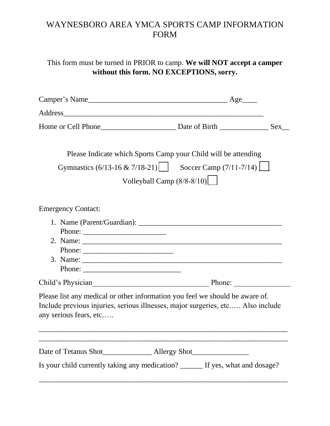## WAYNESBORO AREA YMCA SPORTS CAMP INFORMATION FORM

This form must be turned in PRIOR to camp. **We will NOT accept a camper without this form. NO EXCEPTIONS, sorry.**

| Please Indicate which Sports Camp your Child will be attending                                                                                                                                                                                                                                                                                                                                               |  |
|--------------------------------------------------------------------------------------------------------------------------------------------------------------------------------------------------------------------------------------------------------------------------------------------------------------------------------------------------------------------------------------------------------------|--|
| Gymnastics (6/13-16 & 7/18-21) Soccer Camp (7/11-7/14) $\Box$                                                                                                                                                                                                                                                                                                                                                |  |
| Volleyball Camp $(8/8-8/10)$                                                                                                                                                                                                                                                                                                                                                                                 |  |
| <b>Emergency Contact:</b>                                                                                                                                                                                                                                                                                                                                                                                    |  |
| Phone: $\frac{1}{\sqrt{1-\frac{1}{2}}\sqrt{1-\frac{1}{2}}\sqrt{1-\frac{1}{2}}\sqrt{1-\frac{1}{2}}\sqrt{1-\frac{1}{2}}\sqrt{1-\frac{1}{2}}\sqrt{1-\frac{1}{2}}\sqrt{1-\frac{1}{2}}\sqrt{1-\frac{1}{2}}\sqrt{1-\frac{1}{2}}\sqrt{1-\frac{1}{2}}\sqrt{1-\frac{1}{2}}\sqrt{1-\frac{1}{2}}\sqrt{1-\frac{1}{2}}\sqrt{1-\frac{1}{2}}\sqrt{1-\frac{1}{2}}\sqrt{1-\frac{1}{2}}\sqrt{1-\frac{1}{2}}\sqrt{1-\frac{1}{2$ |  |
| Child's Physician Phone: Phone:                                                                                                                                                                                                                                                                                                                                                                              |  |
| Please list any medical or other information you feel we should be aware of.<br>Include previous injuries, serious illnesses, major surgeries, etc Also include<br>any serious fears, etc                                                                                                                                                                                                                    |  |
|                                                                                                                                                                                                                                                                                                                                                                                                              |  |
| Is your child currently taking any medication? ______ If yes, what and dosage?                                                                                                                                                                                                                                                                                                                               |  |